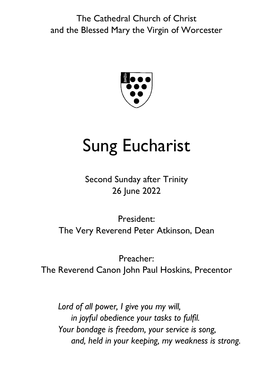The Cathedral Church of Christ and the Blessed Mary the Virgin of Worcester



# Sung Eucharist

Second Sunday after Trinity 26 June 2022

President: The Very Reverend Peter Atkinson, Dean

Preacher: The Reverend Canon John Paul Hoskins, Precentor

*Lord of all power, I give you my will, in joyful obedience your tasks to fulfil. Your bondage is freedom, your service is song, and, held in your keeping, my weakness is strong.*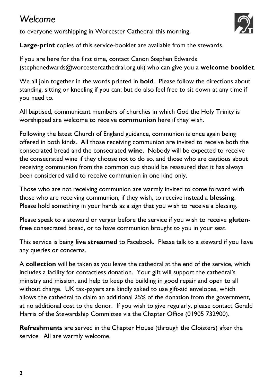# *Welcome*

to everyone worshipping in Worcester Cathedral this morning.



**Large-print** copies of this service-booklet are available from the stewards.

If you are here for the first time, contact Canon Stephen Edwards (stephenedwards@worcestercathedral.org.uk) who can give you a **welcome booklet**.

We all join together in the words printed in **bold**. Please follow the directions about standing, sitting or kneeling if you can; but do also feel free to sit down at any time if you need to.

All baptised, communicant members of churches in which God the Holy Trinity is worshipped are welcome to receive **communion** here if they wish.

Following the latest Church of England guidance, communion is once again being offered in both kinds. All those receiving communion are invited to receive both the consecrated bread and the consecrated **wine**. Nobody will be expected to receive the consecrated wine if they choose not to do so, and those who are cautious about receiving communion from the common cup should be reassured that it has always been considered valid to receive communion in one kind only.

Those who are not receiving communion are warmly invited to come forward with those who are receiving communion, if they wish, to receive instead a **blessing**. Please hold something in your hands as a sign that you wish to receive a blessing.

Please speak to a steward or verger before the service if you wish to receive **glutenfree** consecrated bread, or to have communion brought to you in your seat.

This service is being **live streamed** to Facebook. Please talk to a steward if you have any queries or concerns.

A **collection** will be taken as you leave the cathedral at the end of the service, which includes a facility for contactless donation. Your gift will support the cathedral's ministry and mission, and help to keep the building in good repair and open to all without charge. UK tax-payers are kindly asked to use gift-aid envelopes, which allows the cathedral to claim an additional 25% of the donation from the government, at no additional cost to the donor. If you wish to give regularly, please contact Gerald Harris of the Stewardship Committee via the Chapter Office (01905 732900).

**Refreshments** are served in the Chapter House (through the Cloisters) after the service. All are warmly welcome.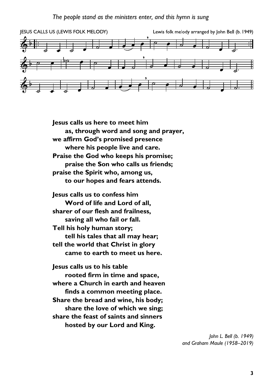#### *The people stand as the ministers enter, and this hymn is sung*



**Jesus calls us here to meet him as, through word and song and prayer, we affirm God's promised presence where his people live and care. Praise the God who keeps his promise; praise the Son who calls us friends; praise the Spirit who, among us, to our hopes and fears attends.**

**Jesus calls us to confess him Word of life and Lord of all, sharer of our flesh and frailness, saving all who fail or fall. Tell his holy human story; tell his tales that all may hear; tell the world that Christ in glory came to earth to meet us here.**

**Jesus calls us to his table rooted firm in time and space, where a Church in earth and heaven finds a common meeting place. Share the bread and wine, his body; share the love of which we sing; share the feast of saints and sinners hosted by our Lord and King.**

> *John L. Bell (b. 1949) and Graham Maule (1958–2019)*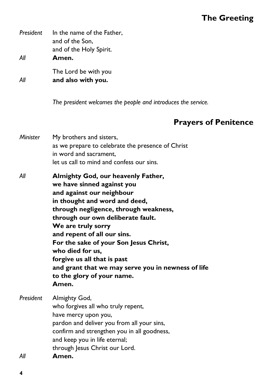# **The Greeting**

| President<br>All | In the name of the Father,<br>and of the Son,<br>and of the Holy Spirit.<br>Amen.                                                                                                                                                                                                                                                                                                                                                                           |
|------------------|-------------------------------------------------------------------------------------------------------------------------------------------------------------------------------------------------------------------------------------------------------------------------------------------------------------------------------------------------------------------------------------------------------------------------------------------------------------|
| All              | The Lord be with you<br>and also with you.                                                                                                                                                                                                                                                                                                                                                                                                                  |
|                  | The president welcomes the people and introduces the service.                                                                                                                                                                                                                                                                                                                                                                                               |
|                  | <b>Prayers of Penitence</b>                                                                                                                                                                                                                                                                                                                                                                                                                                 |
| <b>Minister</b>  | My brothers and sisters,<br>as we prepare to celebrate the presence of Christ<br>in word and sacrament,<br>let us call to mind and confess our sins.                                                                                                                                                                                                                                                                                                        |
| All              | Almighty God, our heavenly Father,<br>we have sinned against you<br>and against our neighbour<br>in thought and word and deed,<br>through negligence, through weakness,<br>through our own deliberate fault.<br>We are truly sorry<br>and repent of all our sins.<br>For the sake of your Son Jesus Christ,<br>who died for us,<br>forgive us all that is past<br>and grant that we may serve you in newness of life<br>to the glory of your name.<br>Amen. |
| President<br>All | Almighty God,<br>who forgives all who truly repent,<br>have mercy upon you,<br>pardon and deliver you from all your sins,<br>confirm and strengthen you in all goodness,<br>and keep you in life eternal;<br>through Jesus Christ our Lord.<br>Amen.                                                                                                                                                                                                        |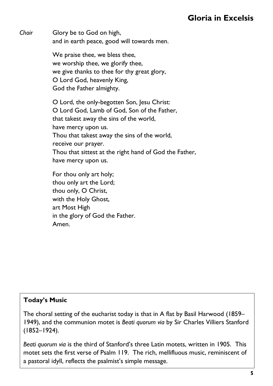## **Gloria in Excelsis**

**Choir** Glory be to God on high, and in earth peace, good will towards men.

> We praise thee, we bless thee, we worship thee, we glorify thee, we give thanks to thee for thy great glory, O Lord God, heavenly King, God the Father almighty.

O Lord, the only-begotten Son, Jesu Christ: O Lord God, Lamb of God, Son of the Father, that takest away the sins of the world, have mercy upon us. Thou that takest away the sins of the world, receive our prayer. Thou that sittest at the right hand of God the Father, have mercy upon us.

For thou only art holy; thou only art the Lord; thou only, O Christ, with the Holy Ghost, art Most High in the glory of God the Father. Amen.

#### **Today's Music**

The choral setting of the eucharist today is that in A flat by Basil Harwood (1859– 1949), and the communion motet is *Beati quorum via* by Sir Charles Villiers Stanford (1852–1924).

*Beati quorum via* is the third of Stanford's three Latin motets, written in 1905. This motet sets the first verse of Psalm 119. The rich, mellifluous music, reminiscent of a pastoral idyll, reflects the psalmist's simple message.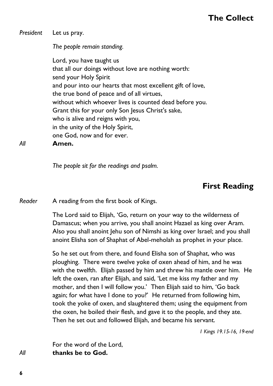*President* Let us pray.

*The people remain standing.*

Lord, you have taught us that all our doings without love are nothing worth: send your Holy Spirit and pour into our hearts that most excellent gift of love, the true bond of peace and of all virtues, without which whoever lives is counted dead before you. Grant this for your only Son Jesus Christ's sake, who is alive and reigns with you, in the unity of the Holy Spirit, one God, now and for ever.

*All* **Amen.**

*The people sit for the readings and psalm.*

## **First Reading**

*Reader* A reading from the first book of Kings.

The Lord said to Elijah, 'Go, return on your way to the wilderness of Damascus; when you arrive, you shall anoint Hazael as king over Aram. Also you shall anoint Jehu son of Nimshi as king over Israel; and you shall anoint Elisha son of Shaphat of Abel-meholah as prophet in your place.

So he set out from there, and found Elisha son of Shaphat, who was ploughing. There were twelve yoke of oxen ahead of him, and he was with the twelfth. Elijah passed by him and threw his mantle over him. He left the oxen, ran after Elijah, and said, 'Let me kiss my father and my mother, and then I will follow you.' Then Elijah said to him, 'Go back again; for what have I done to you?' He returned from following him, took the yoke of oxen, and slaughtered them; using the equipment from the oxen, he boiled their flesh, and gave it to the people, and they ate. Then he set out and followed Elijah, and became his servant.

*1 Kings 19.15-16, 19-end*

For the word of the Lord, *All* **thanks be to God.**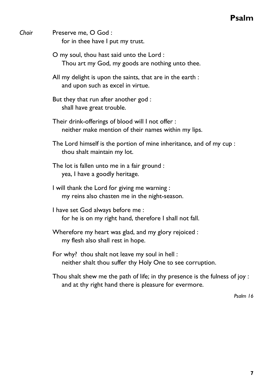# **Psalm**

- *Choir* Preserve me, O God : for in thee have I put my trust.
	- O my soul, thou hast said unto the Lord : Thou art my God, my goods are nothing unto thee.

All my delight is upon the saints, that are in the earth : and upon such as excel in virtue.

- But they that run after another god : shall have great trouble.
- Their drink-offerings of blood will I not offer : neither make mention of their names within my lips.
- The Lord himself is the portion of mine inheritance, and of my cup : thou shalt maintain my lot.
- The lot is fallen unto me in a fair ground : yea, I have a goodly heritage.
- I will thank the Lord for giving me warning : my reins also chasten me in the night-season.
- I have set God always before me : for he is on my right hand, therefore I shall not fall.
- Wherefore my heart was glad, and my glory rejoiced : my flesh also shall rest in hope.
- For why? thou shalt not leave my soul in hell : neither shalt thou suffer thy Holy One to see corruption.
- Thou shalt shew me the path of life; in thy presence is the fulness of joy : and at thy right hand there is pleasure for evermore.

*Psalm 16*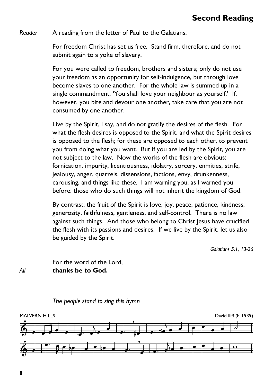*Reader* A reading from the letter of Paul to the Galatians.

For freedom Christ has set us free. Stand firm, therefore, and do not submit again to a yoke of slavery.

For you were called to freedom, brothers and sisters; only do not use your freedom as an opportunity for self-indulgence, but through love become slaves to one another. For the whole law is summed up in a single commandment, 'You shall love your neighbour as yourself.' If, however, you bite and devour one another, take care that you are not consumed by one another.

Live by the Spirit, I say, and do not gratify the desires of the flesh. For what the flesh desires is opposed to the Spirit, and what the Spirit desires is opposed to the flesh; for these are opposed to each other, to prevent you from doing what you want. But if you are led by the Spirit, you are not subject to the law. Now the works of the flesh are obvious: fornication, impurity, licentiousness, idolatry, sorcery, enmities, strife, jealousy, anger, quarrels, dissensions, factions, envy, drunkenness, carousing, and things like these. I am warning you, as I warned you before: those who do such things will not inherit the kingdom of God.

By contrast, the fruit of the Spirit is love, joy, peace, patience, kindness, generosity, faithfulness, gentleness, and self-control. There is no law against such things. And those who belong to Christ Jesus have crucified the flesh with its passions and desires. If we live by the Spirit, let us also be guided by the Spirit.

*Galatians 5.1, 13-25*

For the word of the Lord, *All* **thanks be to God.**



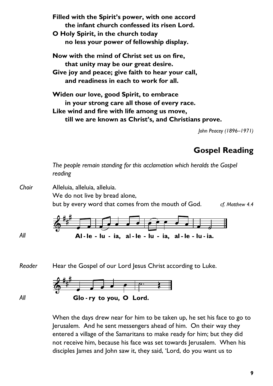**Filled with the Spirit's power, with one accord the infant church confessed its risen Lord. O Holy Spirit, in the church today no less your power of fellowship display.**

**Now with the mind of Christ set us on fire, that unity may be our great desire. Give joy and peace; give faith to hear your call, and readiness in each to work for all.**

**Widen our love, good Spirit, to embrace in your strong care all those of every race. Like wind and fire with life among us move, till we are known as Christ's, and Christians prove.**

*John Peacey (1896–1971)*

## **Gospel Reading**

*The people remain standing for this acclamation which heralds the Gospel reading*

*Choir* Alleluia, alleluia, alleluia.

We do not live by bread alone,

but by every word that comes from the mouth of God. *cf. Matthew 4.4*



*All*



*Reader* Hear the Gospel of our Lord Jesus Christ according to Luke.



When the days drew near for him to be taken up, he set his face to go to Jerusalem. And he sent messengers ahead of him. On their way they entered a village of the Samaritans to make ready for him; but they did not receive him, because his face was set towards Jerusalem. When his disciples James and John saw it, they said, 'Lord, do you want us to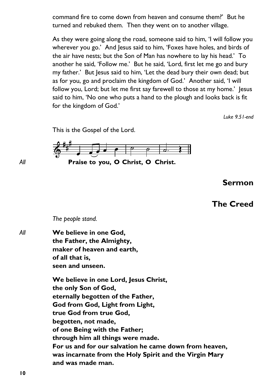command fire to come down from heaven and consume them?' But he turned and rebuked them. Then they went on to another village.

As they were going along the road, someone said to him, 'I will follow you wherever you go.' And Jesus said to him, 'Foxes have holes, and birds of the air have nests; but the Son of Man has nowhere to lay his head.' To another he said, 'Follow me.' But he said, 'Lord, first let me go and bury my father.' But Jesus said to him, 'Let the dead bury their own dead; but as for you, go and proclaim the kingdom of God.' Another said, 'I will follow you, Lord; but let me first say farewell to those at my home.' Jesus said to him, 'No one who puts a hand to the plough and looks back is fit for the kingdom of God.'

*Luke 9.51-end*

This is the Gospel of the Lord.



## **Sermon**

# **The Creed**

*The people stand.*

*All* **We believe in one God, the Father, the Almighty, maker of heaven and earth, of all that is, seen and unseen.**

> **We believe in one Lord, Jesus Christ, the only Son of God, eternally begotten of the Father, God from God, Light from Light, true God from true God, begotten, not made, of one Being with the Father; through him all things were made. For us and for our salvation he came down from heaven, was incarnate from the Holy Spirit and the Virgin Mary and was made man.**

*All*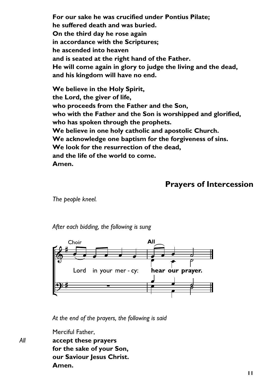**For our sake he was crucified under Pontius Pilate; he suffered death and was buried. On the third day he rose again in accordance with the Scriptures; he ascended into heaven and is seated at the right hand of the Father. He will come again in glory to judge the living and the dead, and his kingdom will have no end.**

**We believe in the Holy Spirit, the Lord, the giver of life, who proceeds from the Father and the Son, who with the Father and the Son is worshipped and glorified, who has spoken through the prophets. We believe in one holy catholic and apostolic Church. We acknowledge one baptism for the forgiveness of sins. We look for the resurrection of the dead, and the life of the world to come. Amen.**

## **Prayers of Intercession**

*The people kneel.*

*After each bidding, the following is sung*



*At the end of the prayers, the following is said*

Merciful Father,

*All* **accept these prayers for the sake of your Son, our Saviour Jesus Christ. Amen.**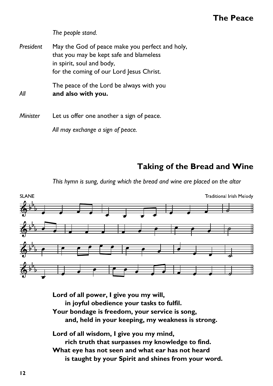# **The Peace**

*The people stand.*

*President* May the God of peace make you perfect and holy, that you may be kept safe and blameless in spirit, soul and body, for the coming of our Lord Jesus Christ. The peace of the Lord be always with you *All* **and also with you.**

*Minister* Let us offer one another a sign of peace.

*All may exchange a sign of peace.*

# **Taking of the Bread and Wine**

*This hymn is sung, during which the bread and wine are placed on the altar*



**Lord of all power, I give you my will, in joyful obedience your tasks to fulfil. Your bondage is freedom, your service is song, and, held in your keeping, my weakness is strong.**

**Lord of all wisdom, I give you my mind, rich truth that surpasses my knowledge to find. What eye has not seen and what ear has not heard is taught by your Spirit and shines from your word.**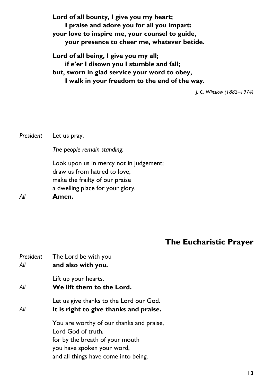**Lord of all bounty, I give you my heart; I praise and adore you for all you impart: your love to inspire me, your counsel to guide, your presence to cheer me, whatever betide.**

**Lord of all being, I give you my all; if e'er I disown you I stumble and fall; but, sworn in glad service your word to obey, I walk in your freedom to the end of the way.**

*J. C. Winslow (1882–1974)*

*President* Let us pray. *The people remain standing.* Look upon us in mercy not in judgement; draw us from hatred to love; make the frailty of our praise a dwelling place for your glory. *All* **Amen.**

**The Eucharistic Prayer**

| President<br>All | The Lord be with you<br>and also with you.                                                                                                                              |
|------------------|-------------------------------------------------------------------------------------------------------------------------------------------------------------------------|
| All              | Lift up your hearts.<br>We lift them to the Lord.                                                                                                                       |
| All              | Let us give thanks to the Lord our God.<br>It is right to give thanks and praise.                                                                                       |
|                  | You are worthy of our thanks and praise,<br>Lord God of truth,<br>for by the breath of your mouth<br>you have spoken your word,<br>and all things have come into being. |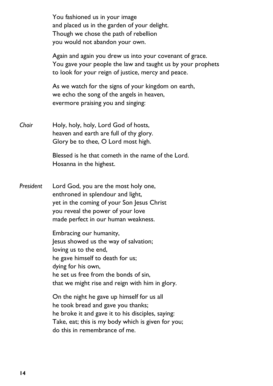You fashioned us in your image and placed us in the garden of your delight. Though we chose the path of rebellion you would not abandon your own.

Again and again you drew us into your covenant of grace. You gave your people the law and taught us by your prophets to look for your reign of justice, mercy and peace.

As we watch for the signs of your kingdom on earth, we echo the song of the angels in heaven, evermore praising you and singing:

*Choir* Holy, holy, holy, Lord God of hosts, heaven and earth are full of thy glory. Glory be to thee, O Lord most high.

> Blessed is he that cometh in the name of the Lord. Hosanna in the highest.

*President* Lord God, you are the most holy one, enthroned in splendour and light, yet in the coming of your Son Jesus Christ you reveal the power of your love made perfect in our human weakness.

> Embracing our humanity, Jesus showed us the way of salvation; loving us to the end, he gave himself to death for us; dying for his own, he set us free from the bonds of sin, that we might rise and reign with him in glory.

On the night he gave up himself for us all he took bread and gave you thanks; he broke it and gave it to his disciples, saying: Take, eat; this is my body which is given for you; do this in remembrance of me.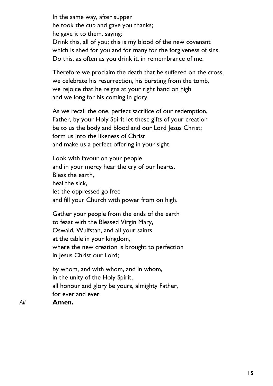In the same way, after supper he took the cup and gave you thanks; he gave it to them, saying: Drink this, all of you; this is my blood of the new covenant which is shed for you and for many for the forgiveness of sins. Do this, as often as you drink it, in remembrance of me.

Therefore we proclaim the death that he suffered on the cross, we celebrate his resurrection, his bursting from the tomb, we rejoice that he reigns at your right hand on high and we long for his coming in glory.

As we recall the one, perfect sacrifice of our redemption, Father, by your Holy Spirit let these gifts of your creation be to us the body and blood and our Lord Jesus Christ; form us into the likeness of Christ and make us a perfect offering in your sight.

Look with favour on your people and in your mercy hear the cry of our hearts. Bless the earth, heal the sick, let the oppressed go free and fill your Church with power from on high.

Gather your people from the ends of the earth to feast with the Blessed Virgin Mary, Oswald, Wulfstan, and all your saints at the table in your kingdom, where the new creation is brought to perfection in Jesus Christ our Lord;

by whom, and with whom, and in whom, in the unity of the Holy Spirit, all honour and glory be yours, almighty Father, for ever and ever.

*All* **Amen.**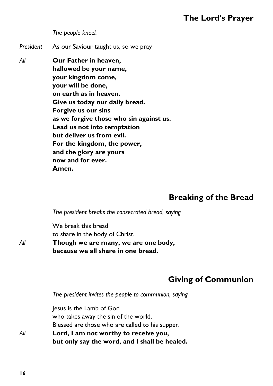*The people kneel.*

*President* As our Saviour taught us, so we pray

*All* **Our Father in heaven, hallowed be your name, your kingdom come, your will be done, on earth as in heaven. Give us today our daily bread. Forgive us our sins as we forgive those who sin against us. Lead us not into temptation but deliver us from evil. For the kingdom, the power, and the glory are yours now and for ever. Amen.**

# **Breaking of the Bread**

*The president breaks the consecrated bread, saying*

We break this bread to share in the body of Christ. *All* **Though we are many, we are one body, because we all share in one bread.**

# **Giving of Communion**

*The president invites the people to communion, saying*

Jesus is the Lamb of God who takes away the sin of the world. Blessed are those who are called to his supper. *All* **Lord, I am not worthy to receive you, but only say the word, and I shall be healed.**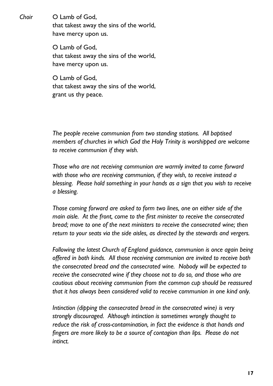*Choir* O Lamb of God, that takest away the sins of the world, have mercy upon us.

> O Lamb of God, that takest away the sins of the world, have mercy upon us.

> O Lamb of God, that takest away the sins of the world, grant us thy peace.

*The people receive communion from two standing stations. All baptised members of churches in which God the Holy Trinity is worshipped are welcome to receive communion if they wish.*

*Those who are not receiving communion are warmly invited to come forward with those who are receiving communion, if they wish, to receive instead a blessing. Please hold something in your hands as a sign that you wish to receive a blessing.*

*Those coming forward are asked to form two lines, one on either side of the main aisle. At the front, come to the first minister to receive the consecrated bread; move to one of the next ministers to receive the consecrated wine; then return to your seats via the side aisles, as directed by the stewards and vergers.*

*Following the latest Church of England guidance, communion is once again being offered in both kinds. All those receiving communion are invited to receive both the consecrated bread and the consecrated wine. Nobody will be expected to receive the consecrated wine if they choose not to do so, and those who are cautious about receiving communion from the common cup should be reassured that it has always been considered valid to receive communion in one kind only.*

*Intinction (dipping the consecrated bread in the consecrated wine) is very strongly discouraged. Although intinction is sometimes wrongly thought to reduce the risk of cross-contamination, in fact the evidence is that hands and fingers are more likely to be a source of contagion than lips. Please do not intinct.*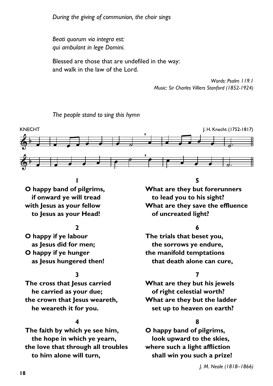*During the giving of communion, the choir sings*

*Beati quorum via integra est: qui ambulant in lege Domini.*

*The people stand to sing this hymn*

Blessed are those that are undefiled in the way: and walk in the law of the Lord.

> *Words: Psalm 119.1 Music: Sir Charles Villiers Stanford (1852-1924)*



**1 O happy band of pilgrims, if onward ye will tread with Jesus as your fellow to Jesus as your Head!**

#### **2**

**O happy if ye labour as Jesus did for men; O happy if ye hunger as Jesus hungered then!**

#### **3**

**The cross that lesus carried he carried as your due; the crown that Jesus weareth, he weareth it for you.**

#### **4**

**The faith by which ye see him, the hope in which ye yearn, the love that through all troubles to him alone will turn,**

**5**

**What are they but forerunners to lead you to his sight? What are they save the effluence of uncreated light?**

#### **6**

**The trials that beset you, the sorrows ye endure, the manifold temptations that death alone can cure,**

#### **7**

**What are they but his jewels of right celestial worth? What are they but the ladder set up to heaven on earth?**

#### **8**

**O happy band of pilgrims, look upward to the skies, where such a light affliction shall win you such a prize!**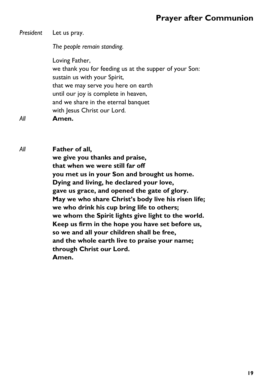*President* Let us pray. *The people remain standing.* Loving Father, we thank you for feeding us at the supper of your Son: sustain us with your Spirit, that we may serve you here on earth until our joy is complete in heaven, and we share in the eternal banquet with Jesus Christ our Lord. *All* **Amen.**

*All* **Father of all, we give you thanks and praise, that when we were still far off you met us in your Son and brought us home. Dying and living, he declared your love, gave us grace, and opened the gate of glory. May we who share Christ's body live his risen life; we who drink his cup bring life to others; we whom the Spirit lights give light to the world. Keep us firm in the hope you have set before us, so we and all your children shall be free, and the whole earth live to praise your name; through Christ our Lord. Amen.**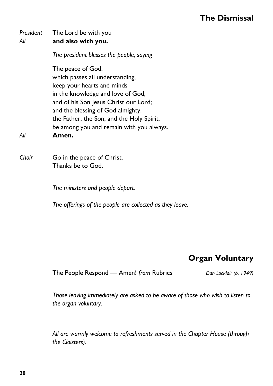## **The Dismissal**

| President<br>All | The Lord be with you<br>and also with you.                                                                                                                                                                                                                                                     |
|------------------|------------------------------------------------------------------------------------------------------------------------------------------------------------------------------------------------------------------------------------------------------------------------------------------------|
|                  | The president blesses the people, saying                                                                                                                                                                                                                                                       |
|                  | The peace of God,<br>which passes all understanding,<br>keep your hearts and minds<br>in the knowledge and love of God,<br>and of his Son Jesus Christ our Lord;<br>and the blessing of God almighty,<br>the Father, the Son, and the Holy Spirit,<br>be among you and remain with you always. |
| All              | Amen.                                                                                                                                                                                                                                                                                          |
| Choir            | Go in the peace of Christ.<br>Thanks be to God.                                                                                                                                                                                                                                                |
|                  | The ministers and people depart.                                                                                                                                                                                                                                                               |
|                  | The offerings of the people are collected as they leave.                                                                                                                                                                                                                                       |

# **Organ Voluntary**

The People Respond — Amen! *from* Rubrics *Dan Locklair (b. 1949)*

*Those leaving immediately are asked to be aware of those who wish to listen to the organ voluntary.*

*All are warmly welcome to refreshments served in the Chapter House (through the Cloisters).*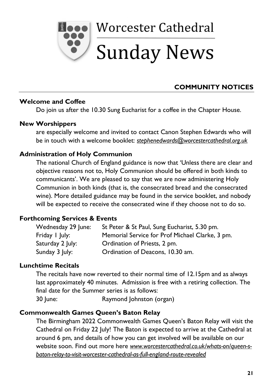

## **COMMUNITY NOTICES**

#### **Welcome and Coffee**

Do join us after the 10.30 Sung Eucharist for a coffee in the Chapter House.

#### **New Worshippers**

are especially welcome and invited to contact Canon Stephen Edwards who will be in touch with a welcome booklet: *[stephenedwards@worcestercathedral.org.uk](mailto:stephenedwards@worcestercathedral.org.uk)*

#### **Administration of Holy Communion**

The national Church of England guidance is now that 'Unless there are clear and objective reasons not to, Holy Communion should be offered in both kinds to communicants'. We are pleased to say that we are now administering Holy Communion in both kinds (that is, the consecrated bread and the consecrated wine). More detailed guidance may be found in the service booklet, and nobody will be expected to receive the consecrated wine if they choose not to do so.

#### **Forthcoming Services & Events**

| Wednesday 29 June: | St Peter & St Paul, Sung Eucharist, 5.30 pm.    |
|--------------------|-------------------------------------------------|
| Friday I July:     | Memorial Service for Prof Michael Clarke, 3 pm. |
| Saturday 2 July:   | Ordination of Priests, 2 pm.                    |
| Sunday 3 July:     | Ordination of Deacons, 10.30 am.                |

#### **Lunchtime Recitals**

The recitals have now reverted to their normal time of 12.15pm and as always last approximately 40 minutes. Admission is free with a retiring collection. The final date for the Summer series is as follows:

30 June: Raymond Johnston (organ)

#### **Commonwealth Games Queen's Baton Relay**

The Birmingham 2022 Commonwealth Games Queen's Baton Relay will visit the Cathedral on Friday 22 July! The Baton is expected to arrive at the Cathedral at around 6 pm, and details of how you can get involved will be available on our website soon. Find out more here *[www.worcestercathedral.co.uk/whats-on/queen-s](http://www.worcestercathedral.co.uk/whats-on/queen-s-baton-relay-to-visit-worcester-cathedral-as-full-england-route-revealed)[baton-relay-to-visit-worcester-cathedral-as-full-england-route-revealed](http://www.worcestercathedral.co.uk/whats-on/queen-s-baton-relay-to-visit-worcester-cathedral-as-full-england-route-revealed)*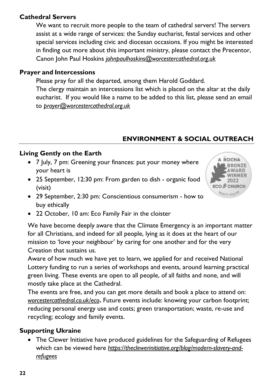## **Cathedral Servers**

We want to recruit more people to the team of cathedral servers! The servers assist at a wide range of services: the Sunday eucharist, festal services and other special services including civic and diocesan occasions. If you might be interested in finding out more about this important ministry, please contact the Precentor, Canon John Paul Hoskins *[johnpaulhoskins@worcestercathedral.org.uk](mailto:johnpaulhoskins@worcestercathedral.org.uk)*

## **Prayer and Intercessions**

Please pray for all the departed, among them Harold Goddard.

The clergy maintain an intercessions list which is placed on the altar at the daily eucharist. If you would like a name to be added to this list, please send an email to *[prayer@worcestercathedral.org.uk](mailto:prayer@worcestercathedral.org.uk)*

## **ENVIRONMENT & SOCIAL OUTREACH**

## **Living Gently on the Earth**

- 7 July, 7 pm: Greening your finances: put your money where your heart is
- 25 September, 12:30 pm: From garden to dish organic food (visit)
- 29 September, 2:30 pm: Conscientious consumerism how to buy ethically
- 22 October, 10 am: Eco Family Fair in the cloister

We have become deeply aware that the Climate Emergency is an important matter for all Christians, and indeed for all people, lying as it does at the heart of our mission to 'love your neighbour' by caring for one another and for the very Creation that sustains us.

Aware of how much we have yet to learn, we applied for and received National Lottery funding to run a series of workshops and events, around learning practical green living. These events are open to all people, of all faiths and none, and will mostly take place at the Cathedral.

The events are free, and you can get more details and book a place to attend on: *[worcestercathedral.co.uk/eco](https://www.worcestercathedral.co.uk/eco)*. Future events include: knowing your carbon footprint; reducing personal energy use and costs; green transportation; waste, re-use and recycling; ecology and family events.

## **Supporting Ukraine**

• The Clewer Initiative have produced guidelines for the Safeguarding of Refugees which can be viewed here *[https://theclewerinitiative.org/blog/modern-slavery-and](https://theclewerinitiative.org/blog/modern-slavery-and-refugees)[refugees](https://theclewerinitiative.org/blog/modern-slavery-and-refugees)*

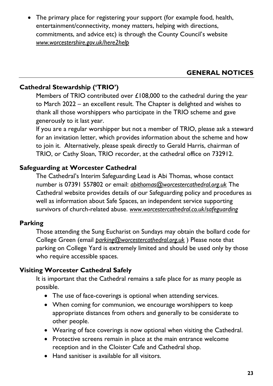• The primary place for registering your support (for example food, health, entertainment/connectivity, money matters, helping with directions, commitments, and advice etc) is through the County Council's website *[www.worcestershire.gov.uk/here2help](http://www.worcestershire.gov.uk/here2help)*

### **GENERAL NOTICES**

## **Cathedral Stewardship ('TRIO')**

Members of TRIO contributed over £108,000 to the cathedral during the year to March 2022 – an excellent result. The Chapter is delighted and wishes to thank all those worshippers who participate in the TRIO scheme and gave generously to it last year.

If you are a regular worshipper but not a member of TRIO, please ask a steward for an invitation letter, which provides information about the scheme and how to join it. Alternatively, please speak directly to Gerald Harris, chairman of TRIO, or Cathy Sloan, TRIO recorder, at the cathedral office on 732912.

#### **Safeguarding at Worcester Cathedral**

The Cathedral's Interim Safeguarding Lead is Abi Thomas, whose contact number is 07391 557802 or email: *[abithomas@worcestercathedral.org.uk](mailto:abithomas@worcestercathedral.org.uk)* The Cathedral website provides details of our Safeguarding policy and procedures as well as information about Safe Spaces, an independent service supporting survivors of church-related abuse. *[www.worcestercathedral.co.uk/safeguarding](http://www.worcestercathedral.co.uk/safeguarding)*

#### **Parking**

Those attending the Sung Eucharist on Sundays may obtain the bollard code for College Green (email *[parking@worcestercathedral.org.uk](mailto:parking@worcestercathedral.org.uk)* ) Please note that parking on College Yard is extremely limited and should be used only by those who require accessible spaces.

#### **Visiting Worcester Cathedral Safely**

It is important that the Cathedral remains a safe place for as many people as possible.

- The use of face-coverings is optional when attending services.
- When coming for communion, we encourage worshippers to keep appropriate distances from others and generally to be considerate to other people.
- Wearing of face coverings is now optional when visiting the Cathedral.
- Protective screens remain in place at the main entrance welcome reception and in the Cloister Cafe and Cathedral shop.
- Hand sanitiser is available for all visitors.